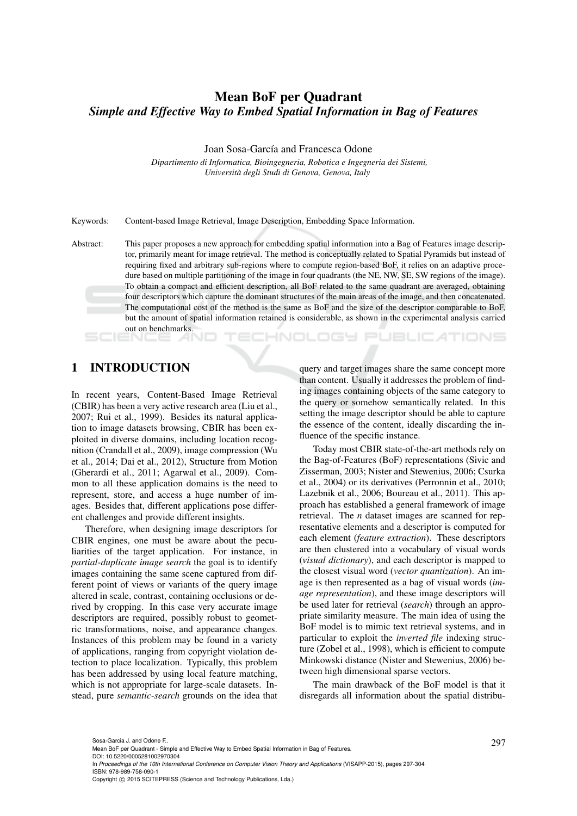# Mean BoF per Quadrant *Simple and Effective Way to Embed Spatial Information in Bag of Features*

Joan Sosa-García and Francesca Odone

*Dipartimento di Informatica, Bioingegneria, Robotica e Ingegneria dei Sistemi, Universita degli Studi di Genova, Genova, Italy `*

Keywords: Content-based Image Retrieval, Image Description, Embedding Space Information.

Abstract: This paper proposes a new approach for embedding spatial information into a Bag of Features image descriptor, primarily meant for image retrieval. The method is conceptually related to Spatial Pyramids but instead of requiring fixed and arbitrary sub-regions where to compute region-based BoF, it relies on an adaptive procedure based on multiple partitioning of the image in four quadrants (the NE, NW, SE, SW regions of the image). To obtain a compact and efficient description, all BoF related to the same quadrant are averaged, obtaining four descriptors which capture the dominant structures of the main areas of the image, and then concatenated. The computational cost of the method is the same as BoF and the size of the descriptor comparable to BoF, but the amount of spatial information retained is considerable, as shown in the experimental analysis carried out on benchmarks.

#### **ECHNOLOGY PUBLICATIONS**

## 1 INTRODUCTION

In recent years, Content-Based Image Retrieval (CBIR) has been a very active research area (Liu et al., 2007; Rui et al., 1999). Besides its natural application to image datasets browsing, CBIR has been exploited in diverse domains, including location recognition (Crandall et al., 2009), image compression (Wu et al., 2014; Dai et al., 2012), Structure from Motion (Gherardi et al., 2011; Agarwal et al., 2009). Common to all these application domains is the need to represent, store, and access a huge number of images. Besides that, different applications pose different challenges and provide different insights.

Therefore, when designing image descriptors for CBIR engines, one must be aware about the peculiarities of the target application. For instance, in *partial-duplicate image search* the goal is to identify images containing the same scene captured from different point of views or variants of the query image altered in scale, contrast, containing occlusions or derived by cropping. In this case very accurate image descriptors are required, possibly robust to geometric transformations, noise, and appearance changes. Instances of this problem may be found in a variety of applications, ranging from copyright violation detection to place localization. Typically, this problem has been addressed by using local feature matching, which is not appropriate for large-scale datasets. Instead, pure *semantic-search* grounds on the idea that query and target images share the same concept more than content. Usually it addresses the problem of finding images containing objects of the same category to the query or somehow semantically related. In this setting the image descriptor should be able to capture the essence of the content, ideally discarding the influence of the specific instance.

Today most CBIR state-of-the-art methods rely on the Bag-of-Features (BoF) representations (Sivic and Zisserman, 2003; Nister and Stewenius, 2006; Csurka et al., 2004) or its derivatives (Perronnin et al., 2010; Lazebnik et al., 2006; Boureau et al., 2011). This approach has established a general framework of image retrieval. The *n* dataset images are scanned for representative elements and a descriptor is computed for each element (*feature extraction*). These descriptors are then clustered into a vocabulary of visual words (*visual dictionary*), and each descriptor is mapped to the closest visual word (*vector quantization*). An image is then represented as a bag of visual words (*image representation*), and these image descriptors will be used later for retrieval (*search*) through an appropriate similarity measure. The main idea of using the BoF model is to mimic text retrieval systems, and in particular to exploit the *inverted file* indexing structure (Zobel et al., 1998), which is efficient to compute Minkowski distance (Nister and Stewenius, 2006) between high dimensional sparse vectors.

The main drawback of the BoF model is that it disregards all information about the spatial distribu-

Sosa-Garcia J. and Odone F..<br>Mean BoF per Quadrant - Simple and Effective Way to Embed Spatial Information in Bag of Features.

DOI: 10.5220/0005281002970304

In *Proceedings of the 10th International Conference on Computer Vision Theory and Applications* (VISAPP-2015), pages 297-304 ISBN: 978-989-758-090-1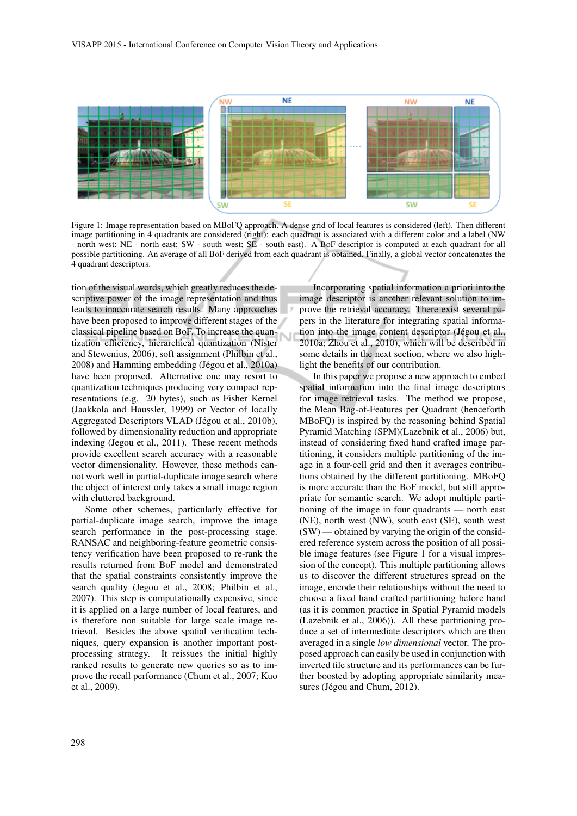

Figure 1: Image representation based on MBoFQ approach. A dense grid of local features is considered (left). Then different image partitioning in 4 quadrants are considered (right): each quadrant is associated with a different color and a label (NW - north west; NE - north east; SW - south west; SE - south east). A BoF descriptor is computed at each quadrant for all possible partitioning. An average of all BoF derived from each quadrant is obtained. Finally, a global vector concatenates the 4 quadrant descriptors.

tion of the visual words, which greatly reduces the descriptive power of the image representation and thus leads to inaccurate search results. Many approaches have been proposed to improve different stages of the classical pipeline based on BoF. To increase the quantization efficiency, hierarchical quantization (Nister and Stewenius, 2006), soft assignment (Philbin et al., 2008) and Hamming embedding (Jégou et al., 2010a) have been proposed. Alternative one may resort to quantization techniques producing very compact representations (e.g. 20 bytes), such as Fisher Kernel (Jaakkola and Haussler, 1999) or Vector of locally Aggregated Descriptors VLAD (Jégou et al., 2010b), followed by dimensionality reduction and appropriate indexing (Jegou et al., 2011). These recent methods provide excellent search accuracy with a reasonable vector dimensionality. However, these methods cannot work well in partial-duplicate image search where the object of interest only takes a small image region with cluttered background.

Some other schemes, particularly effective for partial-duplicate image search, improve the image search performance in the post-processing stage. RANSAC and neighboring-feature geometric consistency verification have been proposed to re-rank the results returned from BoF model and demonstrated that the spatial constraints consistently improve the search quality (Jegou et al., 2008; Philbin et al., 2007). This step is computationally expensive, since it is applied on a large number of local features, and is therefore non suitable for large scale image retrieval. Besides the above spatial verification techniques, query expansion is another important postprocessing strategy. It reissues the initial highly ranked results to generate new queries so as to improve the recall performance (Chum et al., 2007; Kuo et al., 2009).

Incorporating spatial information a priori into the image descriptor is another relevant solution to improve the retrieval accuracy. There exist several papers in the literature for integrating spatial information into the image content descriptor (Jégou et al., 2010a; Zhou et al., 2010), which will be described in some details in the next section, where we also highlight the benefits of our contribution.

In this paper we propose a new approach to embed spatial information into the final image descriptors for image retrieval tasks. The method we propose, the Mean Bag-of-Features per Quadrant (henceforth MBoFQ) is inspired by the reasoning behind Spatial Pyramid Matching (SPM)(Lazebnik et al., 2006) but, instead of considering fixed hand crafted image partitioning, it considers multiple partitioning of the image in a four-cell grid and then it averages contributions obtained by the different partitioning. MBoFQ is more accurate than the BoF model, but still appropriate for semantic search. We adopt multiple partitioning of the image in four quadrants — north east (NE), north west (NW), south east (SE), south west (SW) — obtained by varying the origin of the considered reference system across the position of all possible image features (see Figure 1 for a visual impression of the concept). This multiple partitioning allows us to discover the different structures spread on the image, encode their relationships without the need to choose a fixed hand crafted partitioning before hand (as it is common practice in Spatial Pyramid models (Lazebnik et al., 2006)). All these partitioning produce a set of intermediate descriptors which are then averaged in a single *low dimensional* vector. The proposed approach can easily be used in conjunction with inverted file structure and its performances can be further boosted by adopting appropriate similarity measures (Jégou and Chum, 2012).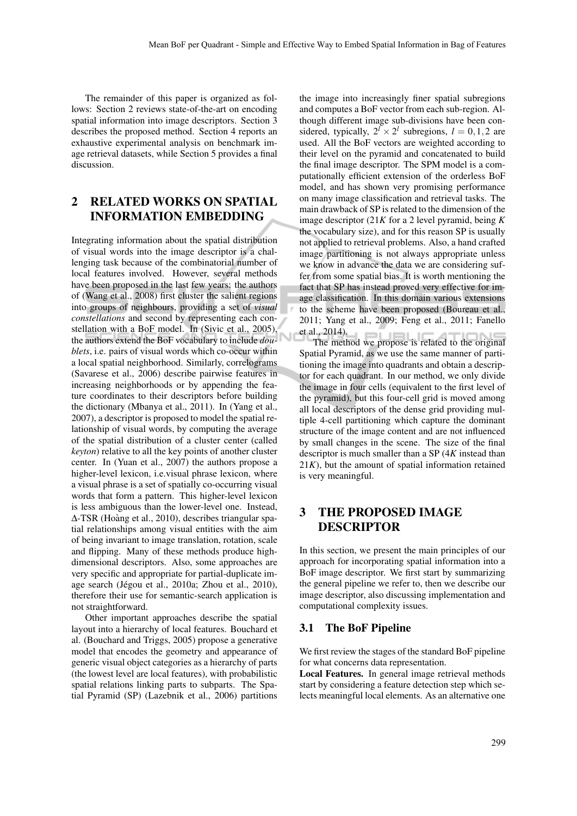The remainder of this paper is organized as follows: Section 2 reviews state-of-the-art on encoding spatial information into image descriptors. Section 3 describes the proposed method. Section 4 reports an exhaustive experimental analysis on benchmark image retrieval datasets, while Section 5 provides a final discussion.

### 2 RELATED WORKS ON SPATIAL INFORMATION EMBEDDING

Integrating information about the spatial distribution of visual words into the image descriptor is a challenging task because of the combinatorial number of local features involved. However, several methods have been proposed in the last few years: the authors of (Wang et al., 2008) first cluster the salient regions into groups of neighbours, providing a set of *visual constellations* and second by representing each constellation with a BoF model. In (Sivic et al., 2005), the authors extend the BoF vocabulary to include *doublets*, i.e. pairs of visual words which co-occur within a local spatial neighborhood. Similarly, correlograms (Savarese et al., 2006) describe pairwise features in increasing neighborhoods or by appending the feature coordinates to their descriptors before building the dictionary (Mbanya et al., 2011). In (Yang et al., 2007), a descriptor is proposed to model the spatial relationship of visual words, by computing the average of the spatial distribution of a cluster center (called *keyton*) relative to all the key points of another cluster center. In (Yuan et al., 2007) the authors propose a higher-level lexicon, i.e.visual phrase lexicon, where a visual phrase is a set of spatially co-occurring visual words that form a pattern. This higher-level lexicon is less ambiguous than the lower-level one. Instead, ∆-TSR (Hoang et al., 2010), describes triangular spa- ` tial relationships among visual entities with the aim of being invariant to image translation, rotation, scale and flipping. Many of these methods produce highdimensional descriptors. Also, some approaches are very specific and appropriate for partial-duplicate image search (Jégou et al., 2010a; Zhou et al., 2010), therefore their use for semantic-search application is not straightforward.

Other important approaches describe the spatial layout into a hierarchy of local features. Bouchard et al. (Bouchard and Triggs, 2005) propose a generative model that encodes the geometry and appearance of generic visual object categories as a hierarchy of parts (the lowest level are local features), with probabilistic spatial relations linking parts to subparts. The Spatial Pyramid (SP) (Lazebnik et al., 2006) partitions

the image into increasingly finer spatial subregions and computes a BoF vector from each sub-region. Although different image sub-divisions have been considered, typically,  $2^l \times 2^l$  subregions,  $l = 0, 1, 2$  are used. All the BoF vectors are weighted according to their level on the pyramid and concatenated to build the final image descriptor. The SPM model is a computationally efficient extension of the orderless BoF model, and has shown very promising performance on many image classification and retrieval tasks. The main drawback of SP is related to the dimension of the image descriptor (21*K* for a 2 level pyramid, being *K* the vocabulary size), and for this reason SP is usually not applied to retrieval problems. Also, a hand crafted image partitioning is not always appropriate unless we know in advance the data we are considering suffer from some spatial bias. It is worth mentioning the fact that SP has instead proved very effective for image classification. In this domain various extensions to the scheme have been proposed (Boureau et al., 2011; Yang et al., 2009; Feng et al., 2011; Fanello et al., 2014).  $=1.15$ 

 $\frac{2017}{100}$  The method we propose is related to the original Spatial Pyramid, as we use the same manner of partitioning the image into quadrants and obtain a descriptor for each quadrant. In our method, we only divide the image in four cells (equivalent to the first level of the pyramid), but this four-cell grid is moved among all local descriptors of the dense grid providing multiple 4-cell partitioning which capture the dominant structure of the image content and are not influenced by small changes in the scene. The size of the final descriptor is much smaller than a SP (4*K* instead than  $21K$ ), but the amount of spatial information retained is very meaningful.

## 3 THE PROPOSED IMAGE DESCRIPTOR

In this section, we present the main principles of our approach for incorporating spatial information into a BoF image descriptor. We first start by summarizing the general pipeline we refer to, then we describe our image descriptor, also discussing implementation and computational complexity issues.

#### 3.1 The BoF Pipeline

We first review the stages of the standard BoF pipeline for what concerns data representation.

Local Features. In general image retrieval methods start by considering a feature detection step which selects meaningful local elements. As an alternative one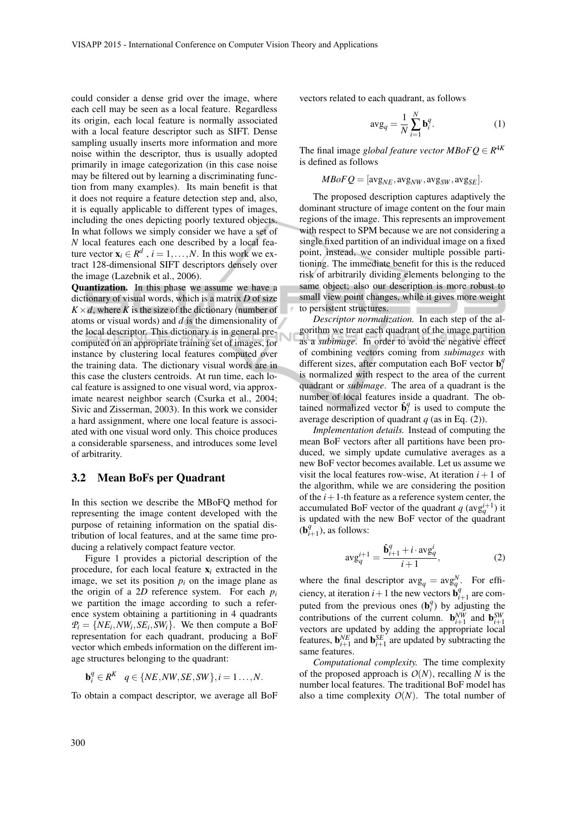could consider a dense grid over the image, where each cell may be seen as a local feature. Regardless its origin, each local feature is normally associated with a local feature descriptor such as SIFT. Dense sampling usually inserts more information and more noise within the descriptor, thus is usually adopted primarily in image categorization (in this case noise may be filtered out by learning a discriminating function from many examples). Its main benefit is that it does not require a feature detection step and, also, it is equally applicable to different types of images, including the ones depicting poorly textured objects. In what follows we simply consider we have a set of *N* local features each one described by a local feature vector  $\mathbf{x}_i \in \mathbb{R}^d$ ,  $i = 1, ..., N$ . In this work we extract 128-dimensional SIFT descriptors densely over the image (Lazebnik et al., 2006).

Quantization. In this phase we assume we have a dictionary of visual words, which is a matrix *D* of size  $K \times d$ , where *K* is the size of the dictionary (number of atoms or visual words) and *d* is the dimensionality of the local descriptor. This dictionary is in general precomputed on an appropriate training set of images, for instance by clustering local features computed over the training data. The dictionary visual words are in this case the clusters centroids. At run time, each local feature is assigned to one visual word, via approximate nearest neighbor search (Csurka et al., 2004; Sivic and Zisserman, 2003). In this work we consider a hard assignment, where one local feature is associated with one visual word only. This choice produces a considerable sparseness, and introduces some level of arbitrarity.

#### 3.2 Mean BoFs per Quadrant

In this section we describe the MBoFQ method for representing the image content developed with the purpose of retaining information on the spatial distribution of local features, and at the same time producing a relatively compact feature vector.

Figure 1 provides a pictorial description of the procedure, for each local feature  $x_i$  extracted in the image, we set its position  $p_i$  on the image plane as the origin of a 2*D* reference system. For each *p<sup>i</sup>* we partition the image according to such a reference system obtaining a partitioning in 4 quadrants  $P_i = \{NE_i, NW_i, SE_i, SW_i\}$ . We then compute a BoF representation for each quadrant, producing a BoF vector which embeds information on the different image structures belonging to the quadrant:

$$
\mathbf{b}_i^q \in R^K \quad q \in \{NE, NW, SE, SW\}, i = 1 \ldots, N.
$$

To obtain a compact descriptor, we average all BoF

vectors related to each quadrant, as follows

$$
\text{avg}_q = \frac{1}{N} \sum_{i=1}^{N} \mathbf{b}_i^q.
$$
 (1)

The final image *global feature vector*  $MBoFQ \in R^{4K}$ is defined as follows

$$
MBoFQ = [\text{avg}_{NE}, \text{avg}_{NW}, \text{avg}_{SW}, \text{avg}_{SE}].
$$

The proposed description captures adaptively the dominant structure of image content on the four main regions of the image. This represents an improvement with respect to SPM because we are not considering a single fixed partition of an individual image on a fixed point, instead, we consider multiple possible partitioning. The immediate benefit for this is the reduced risk of arbitrarily dividing elements belonging to the same object; also our description is more robust to small view point changes, while it gives more weight to persistent structures. **STATISTICS** 

*Descriptor normalization.* In each step of the algorithm we treat each quadrant of the image partition as a *subimage*. In order to avoid the negative effect of combining vectors coming from *subimages* with different sizes, after computation each BoF vector b *q i* is normalized with respect to the area of the current quadrant or *subimage*. The area of a quadrant is the number of local features inside a quadrant. The obtained normalized vector  $\hat{\mathbf{b}}_i^q$  is used to compute the average description of quadrant  $q$  (as in Eq. (2)).

*Implementation details.* Instead of computing the mean BoF vectors after all partitions have been produced, we simply update cumulative averages as a new BoF vector becomes available. Let us assume we visit the local features row-wise, At iteration  $i+1$  of the algorithm, while we are considering the position of the  $i+1$ -th feature as a reference system center, the accumulated BoF vector of the quadrant *q* ( $\text{avg}_q^{i+1}$ ) it is updated with the new BoF vector of the quadrant  $(b_i^q)$  $a_{i+1}^q$ ), as follows:

$$
\text{avg}_q^{i+1} = \frac{\hat{\mathbf{b}}_{i+1}^q + i \cdot \text{avg}_q^i}{i+1},\tag{2}
$$

where the final descriptor  $\text{avg}_q = \text{avg}_q^N$ . For efficiency, at iteration  $i+1$  the new vectors  $\mathbf{b}_i^q$  $a_{i+1}^q$  are computed from the previous ones  $(\mathbf{b}_i^q)$  by adjusting the contributions of the current column.  $\mathbf{b}_{i+1}^{NW}$  and  $\mathbf{b}_{i+1}^{SW}$ vectors are updated by adding the appropriate local features,  $\mathbf{b}_{i+1}^{NE}$  and  $\mathbf{b}_{i+1}^{SE}$  are updated by subtracting the same features.

*Computational complexity.* The time complexity of the proposed approach is  $O(N)$ , recalling N is the number local features. The traditional BoF model has also a time complexity  $O(N)$ . The total number of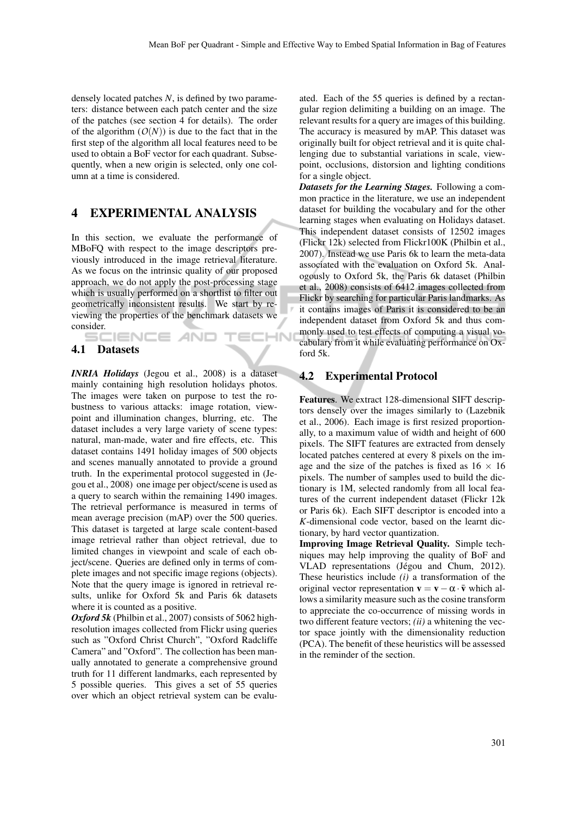densely located patches *N*, is defined by two parameters: distance between each patch center and the size of the patches (see section 4 for details). The order of the algorithm  $(O(N))$  is due to the fact that in the first step of the algorithm all local features need to be used to obtain a BoF vector for each quadrant. Subsequently, when a new origin is selected, only one column at a time is considered.

## 4 EXPERIMENTAL ANALYSIS

In this section, we evaluate the performance of MBoFQ with respect to the image descriptors previously introduced in the image retrieval literature. As we focus on the intrinsic quality of our proposed approach, we do not apply the post-processing stage which is usually performed on a shortlist to filter out geometrically inconsistent results. We start by reviewing the properties of the benchmark datasets we consider.<br>
SCIENCE AND

TECHN

### 4.1 Datasets

*INRIA Holidays* (Jegou et al., 2008) is a dataset mainly containing high resolution holidays photos. The images were taken on purpose to test the robustness to various attacks: image rotation, viewpoint and illumination changes, blurring, etc. The dataset includes a very large variety of scene types: natural, man-made, water and fire effects, etc. This dataset contains 1491 holiday images of 500 objects and scenes manually annotated to provide a ground truth. In the experimental protocol suggested in (Jegou et al., 2008) one image per object/scene is used as a query to search within the remaining 1490 images. The retrieval performance is measured in terms of mean average precision (mAP) over the 500 queries. This dataset is targeted at large scale content-based image retrieval rather than object retrieval, due to limited changes in viewpoint and scale of each object/scene. Queries are defined only in terms of complete images and not specific image regions (objects). Note that the query image is ignored in retrieval results, unlike for Oxford 5k and Paris 6k datasets where it is counted as a positive.

*Oxford 5k* (Philbin et al., 2007) consists of 5062 highresolution images collected from Flickr using queries such as "Oxford Christ Church", "Oxford Radcliffe Camera" and "Oxford". The collection has been manually annotated to generate a comprehensive ground truth for 11 different landmarks, each represented by 5 possible queries. This gives a set of 55 queries over which an object retrieval system can be evaluated. Each of the 55 queries is defined by a rectangular region delimiting a building on an image. The relevant results for a query are images of this building. The accuracy is measured by mAP. This dataset was originally built for object retrieval and it is quite challenging due to substantial variations in scale, viewpoint, occlusions, distorsion and lighting conditions for a single object.

*Datasets for the Learning Stages.* Following a common practice in the literature, we use an independent dataset for building the vocabulary and for the other learning stages when evaluating on Holidays dataset. This independent dataset consists of 12502 images (Flickr 12k) selected from Flickr100K (Philbin et al., 2007). Instead we use Paris 6k to learn the meta-data associated with the evaluation on Oxford 5k. Analogously to Oxford 5k, the Paris 6k dataset (Philbin et al., 2008) consists of 6412 images collected from Flickr by searching for particular Paris landmarks. As it contains images of Paris it is considered to be an independent dataset from Oxford 5k and thus commonly used to test effects of computing a visual vocabulary from it while evaluating performance on Oxford 5k.

### 4.2 Experimental Protocol

Features. We extract 128-dimensional SIFT descriptors densely over the images similarly to (Lazebnik et al., 2006). Each image is first resized proportionally, to a maximum value of width and height of 600 pixels. The SIFT features are extracted from densely located patches centered at every 8 pixels on the image and the size of the patches is fixed as  $16 \times 16$ pixels. The number of samples used to build the dictionary is 1M, selected randomly from all local features of the current independent dataset (Flickr 12k or Paris 6k). Each SIFT descriptor is encoded into a *K*-dimensional code vector, based on the learnt dictionary, by hard vector quantization.

Improving Image Retrieval Quality. Simple techniques may help improving the quality of BoF and VLAD representations (Jégou and Chum, 2012). These heuristics include *(i)* a transformation of the original vector representation  $\mathbf{v} = \mathbf{v} - \alpha \cdot \mathbf{\bar{v}}$  which allows a similarity measure such as the cosine transform to appreciate the co-occurrence of missing words in two different feature vectors; *(ii)* a whitening the vector space jointly with the dimensionality reduction (PCA). The benefit of these heuristics will be assessed in the reminder of the section.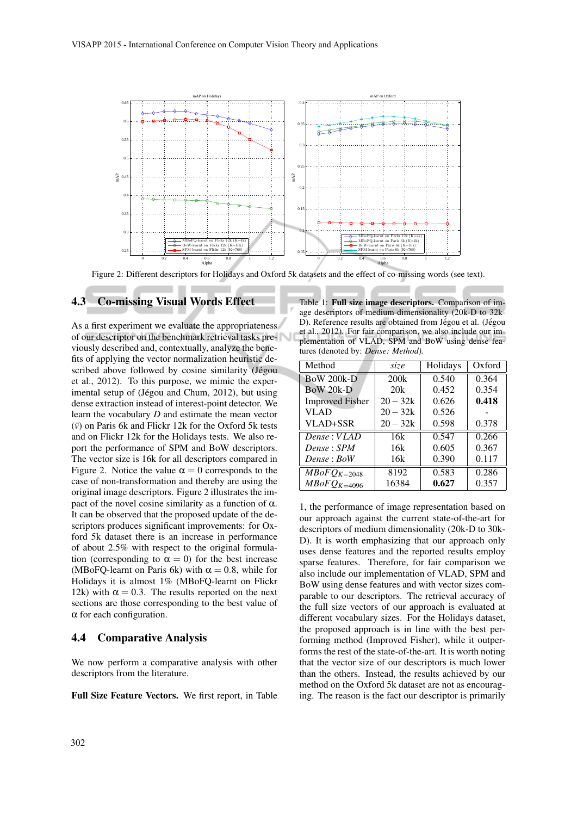

Figure 2: Different descriptors for Holidays and Oxford 5k datasets and the effect of co-missing words (see text).

### 4.3 Co-missing Visual Words Effect

As a first experiment we evaluate the appropriateness of our descriptor on the benchmark retrieval tasks previously described and, contextually, analyze the benefits of applying the vector normalization heuristic described above followed by cosine similarity (Jégou et al., 2012). To this purpose, we mimic the experimental setup of (Jégou and Chum, 2012), but using dense extraction instead of interest-point detector. We learn the vocabulary *D* and estimate the mean vector  $(\bar{v})$  on Paris 6k and Flickr 12k for the Oxford 5k tests and on Flickr 12k for the Holidays tests. We also report the performance of SPM and BoW descriptors. The vector size is 16k for all descriptors compared in Figure 2. Notice the value  $\alpha = 0$  corresponds to the case of non-transformation and thereby are using the original image descriptors. Figure 2 illustrates the impact of the novel cosine similarity as a function of α. It can be observed that the proposed update of the descriptors produces significant improvements: for Oxford 5k dataset there is an increase in performance of about 2.5% with respect to the original formulation (corresponding to  $\alpha = 0$ ) for the best increase (MBoFQ-learnt on Paris 6k) with  $\alpha = 0.8$ , while for Holidays it is almost 1% (MBoFQ-learnt on Flickr 12k) with  $\alpha = 0.3$ . The results reported on the next sections are those corresponding to the best value of  $\alpha$  for each configuration.

#### 4.4 Comparative Analysis

We now perform a comparative analysis with other descriptors from the literature.

Full Size Feature Vectors. We first report, in Table

Table 1: Full size image descriptors. Comparison of image descriptors of medium-dimensionality (20k-D to 32k-D). Reference results are obtained from Jégou et al. (Jégou et al., 2012). For fair comparison, we also include our implementation of VLAD, SPM and BoW using dense features (denoted by: *Dense: Method).*

| Method                                 | size       | Holidays | Oxford |
|----------------------------------------|------------|----------|--------|
| <b>BoW 200k-D</b>                      | 200k       | 0.540    | 0.364  |
| BoW 20k-D                              | 20k        | 0.452    | 0.354  |
| <b>Improved Fisher</b>                 | $20 - 32k$ | 0.626    | 0.418  |
| <b>VLAD</b>                            | $20 - 32k$ | 0.526    |        |
| VLAD+SSR                               | $20 - 32k$ | 0.598    | 0.378  |
| Dense: VLAD                            | 16k        | 0.547    | 0.266  |
| Dense: SPM                             | 16k        | 0.605    | 0.367  |
| Dense : BoW                            | 16k        | 0.390    | 0.117  |
| $\overline{M}$ <i>BoF</i> $Q_{K=2048}$ | 8192       | 0.583    | 0.286  |
| $MBoFQ_{K=4096}$                       | 16384      | 0.627    | 0.357  |

1, the performance of image representation based on our approach against the current state-of-the-art for descriptors of medium dimensionality (20k-D to 30k-D). It is worth emphasizing that our approach only uses dense features and the reported results employ sparse features. Therefore, for fair comparison we also include our implementation of VLAD, SPM and BoW using dense features and with vector sizes comparable to our descriptors. The retrieval accuracy of the full size vectors of our approach is evaluated at different vocabulary sizes. For the Holidays dataset, the proposed approach is in line with the best performing method (Improved Fisher), while it outperforms the rest of the state-of-the-art. It is worth noting that the vector size of our descriptors is much lower than the others. Instead, the results achieved by our method on the Oxford 5k dataset are not as encouraging. The reason is the fact our descriptor is primarily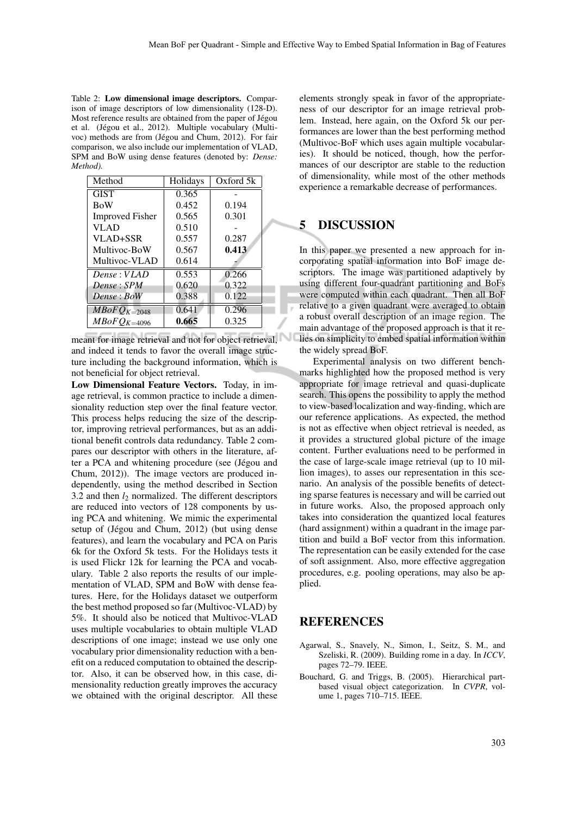Table 2: Low dimensional image descriptors. Comparison of image descriptors of low dimensionality (128-D). Most reference results are obtained from the paper of Jégou et al. (Jégou et al., 2012). Multiple vocabulary (Multivoc) methods are from (Jégou and Chum, 2012). For fair comparison, we also include our implementation of VLAD, SPM and BoW using dense features (denoted by: *Dense: Method).*

| Method                 | Holidays | Oxford 5k |  |
|------------------------|----------|-----------|--|
| <b>GIST</b>            | 0.365    |           |  |
| <b>BoW</b>             | 0.452    | 0.194     |  |
| <b>Improved Fisher</b> | 0.565    | 0.301     |  |
| VLAD                   | 0.510    |           |  |
| VLAD+SSR               | 0.557    | 0.287     |  |
| Multivoc-BoW           | 0.567    | 0.413     |  |
| Multivoc-VLAD          | 0.614    |           |  |
| Dense: VLAD            | 0.553    | 0.266     |  |
| Dense : SPM            | 0.620    | 0.322     |  |
| Dense: BoW             | 0.388    | 0.122     |  |
| $MBoFQ_{K=2048}$       | 0.641    | 0.296     |  |
| $MBoFQ_{K=4096}$       | 0.665    | 0.325     |  |

meant for image retrieval and not for object retrieval, and indeed it tends to favor the overall image structure including the background information, which is not beneficial for object retrieval.

Low Dimensional Feature Vectors. Today, in image retrieval, is common practice to include a dimensionality reduction step over the final feature vector. This process helps reducing the size of the descriptor, improving retrieval performances, but as an additional benefit controls data redundancy. Table 2 compares our descriptor with others in the literature, after a PCA and whitening procedure (see (Jégou and Chum, 2012)). The image vectors are produced independently, using the method described in Section 3.2 and then  $l_2$  normalized. The different descriptors are reduced into vectors of 128 components by using PCA and whitening. We mimic the experimental setup of (Jégou and Chum, 2012) (but using dense features), and learn the vocabulary and PCA on Paris 6k for the Oxford 5k tests. For the Holidays tests it is used Flickr 12k for learning the PCA and vocabulary. Table 2 also reports the results of our implementation of VLAD, SPM and BoW with dense features. Here, for the Holidays dataset we outperform the best method proposed so far (Multivoc-VLAD) by 5%. It should also be noticed that Multivoc-VLAD uses multiple vocabularies to obtain multiple VLAD descriptions of one image; instead we use only one vocabulary prior dimensionality reduction with a benefit on a reduced computation to obtained the descriptor. Also, it can be observed how, in this case, dimensionality reduction greatly improves the accuracy we obtained with the original descriptor. All these elements strongly speak in favor of the appropriateness of our descriptor for an image retrieval problem. Instead, here again, on the Oxford 5k our performances are lower than the best performing method (Multivoc-BoF which uses again multiple vocabularies). It should be noticed, though, how the performances of our descriptor are stable to the reduction of dimensionality, while most of the other methods experience a remarkable decrease of performances.

### 5 DISCUSSION

In this paper we presented a new approach for incorporating spatial information into BoF image descriptors. The image was partitioned adaptively by using different four-quadrant partitioning and BoFs were computed within each quadrant. Then all BoF relative to a given quadrant were averaged to obtain a robust overall description of an image region. The main advantage of the proposed approach is that it relies on simplicity to embed spatial information within the widely spread BoF.

Experimental analysis on two different benchmarks highlighted how the proposed method is very appropriate for image retrieval and quasi-duplicate search. This opens the possibility to apply the method to view-based localization and way-finding, which are our reference applications. As expected, the method is not as effective when object retrieval is needed, as it provides a structured global picture of the image content. Further evaluations need to be performed in the case of large-scale image retrieval (up to 10 million images), to asses our representation in this scenario. An analysis of the possible benefits of detecting sparse features is necessary and will be carried out in future works. Also, the proposed approach only takes into consideration the quantized local features (hard assignment) within a quadrant in the image partition and build a BoF vector from this information. The representation can be easily extended for the case of soft assignment. Also, more effective aggregation procedures, e.g. pooling operations, may also be applied.

### **REFERENCES**

- Agarwal, S., Snavely, N., Simon, I., Seitz, S. M., and Szeliski, R. (2009). Building rome in a day. In *ICCV*, pages 72–79. IEEE.
- Bouchard, G. and Triggs, B. (2005). Hierarchical partbased visual object categorization. In *CVPR*, volume 1, pages 710–715. IEEE.